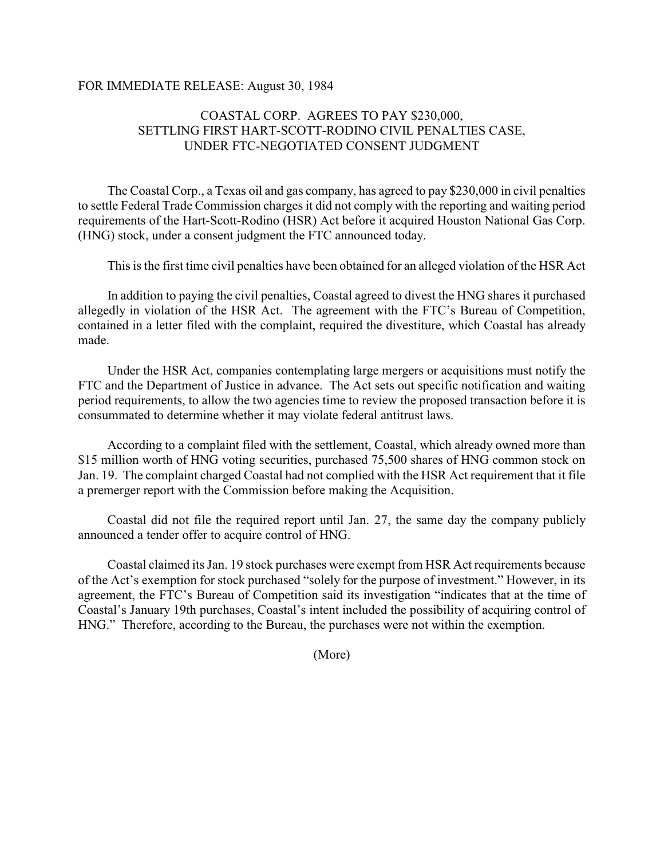## FOR IMMEDIATE RELEASE: August 30, 1984

## COASTAL CORP. AGREES TO PAY \$230,000, SETTLING FIRST HART-SCOTT-RODINO CIVIL PENALTIES CASE, UNDER FTC-NEGOTIATED CONSENT JUDGMENT

The Coastal Corp., a Texas oil and gas company, has agreed to pay \$230,000 in civil penalties to settle Federal Trade Commission charges it did not comply with the reporting and waiting period requirements of the Hart-Scott-Rodino (HSR) Act before it acquired Houston National Gas Corp. (HNG) stock, under a consent judgment the FTC announced today.

This is the first time civil penalties have been obtained for an alleged violation of the HSR Act

In addition to paying the civil penalties, Coastal agreed to divest the HNG shares it purchased allegedly in violation of the HSR Act. The agreement with the FTC's Bureau of Competition, contained in a letter filed with the complaint, required the divestiture, which Coastal has already made.

Under the HSR Act, companies contemplating large mergers or acquisitions must notify the FTC and the Department of Justice in advance. The Act sets out specific notification and waiting period requirements, to allow the two agencies time to review the proposed transaction before it is consummated to determine whether it may violate federal antitrust laws.

According to a complaint filed with the settlement, Coastal, which already owned more than \$15 million worth of HNG voting securities, purchased 75,500 shares of HNG common stock on Jan. 19. The complaint charged Coastal had not complied with the HSR Act requirement that it file a premerger report with the Commission before making the Acquisition.

Coastal did not file the required report until Jan. 27, the same day the company publicly announced a tender offer to acquire control of HNG.

Coastal claimed its Jan. 19 stock purchases were exempt from HSR Act requirements because of the Act's exemption for stock purchased "solely for the purpose of investment." However, in its agreement, the FTC's Bureau of Competition said its investigation "indicates that at the time of Coastal's January 19th purchases, Coastal's intent included the possibility of acquiring control of HNG." Therefore, according to the Bureau, the purchases were not within the exemption.

(More)